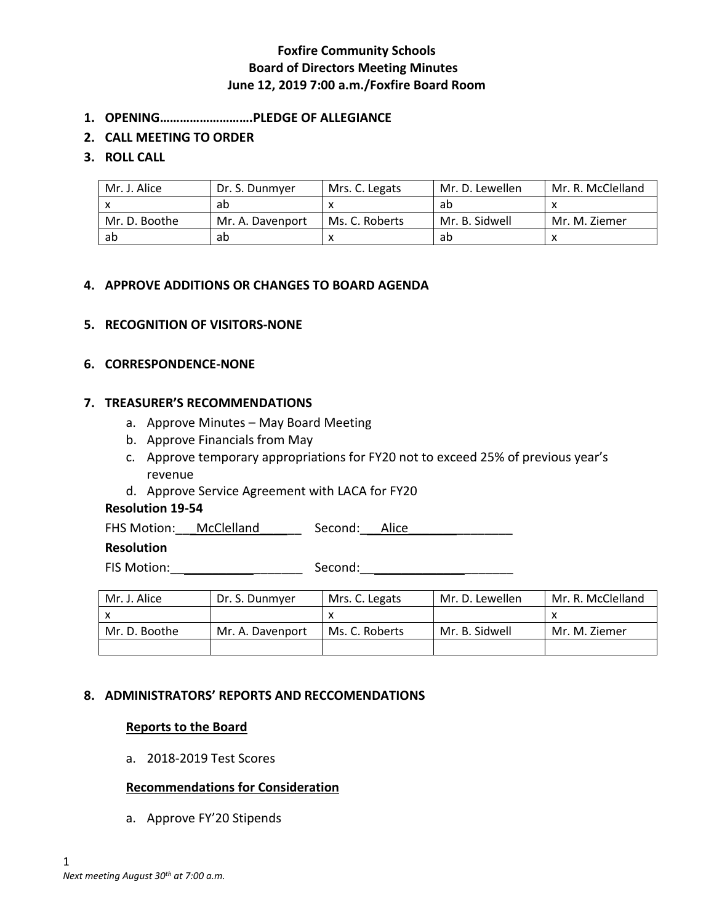- **1. OPENING……………………….PLEDGE OF ALLEGIANCE**
- **2. CALL MEETING TO ORDER**

## **3. ROLL CALL**

| Mr. J. Alice  | Dr. S. Dunmyer   | Mrs. C. Legats | Mr. D. Lewellen | Mr. R. McClelland |
|---------------|------------------|----------------|-----------------|-------------------|
|               | ab               |                | ab              |                   |
| Mr. D. Boothe | Mr. A. Davenport | Ms. C. Roberts | Mr. B. Sidwell  | Mr. M. Ziemer     |
| ab            | ab               |                | ab              |                   |

## **4. APPROVE ADDITIONS OR CHANGES TO BOARD AGENDA**

## **5. RECOGNITION OF VISITORS-NONE**

#### **6. CORRESPONDENCE-NONE**

## **7. TREASURER'S RECOMMENDATIONS**

- a. Approve Minutes May Board Meeting
- b. Approve Financials from May
- c. Approve temporary appropriations for FY20 not to exceed 25% of previous year's revenue
- d. Approve Service Agreement with LACA for FY20

#### **Resolution 19-54**

FHS Motion: \_\_\_McClelland \_\_\_\_\_\_\_\_ Second: \_\_\_Alice \_\_\_\_\_\_\_\_\_\_\_\_\_\_\_\_\_\_\_\_\_\_\_\_\_\_\_\_

#### **Resolution**

FIS Motion:\_\_\_\_\_\_\_\_\_\_\_\_\_\_\_\_\_\_\_ Second:\_\_\_\_\_\_\_\_\_\_\_\_\_\_\_\_\_\_\_\_\_\_

| Mr. J. Alice  | Dr. S. Dunmver   | Mrs. C. Legats | Mr. D. Lewellen | Mr. R. McClelland |
|---------------|------------------|----------------|-----------------|-------------------|
|               |                  |                |                 |                   |
| Mr. D. Boothe | Mr. A. Davenport | Ms. C. Roberts | Mr. B. Sidwell  | Mr. M. Ziemer     |
|               |                  |                |                 |                   |

### **8. ADMINISTRATORS' REPORTS AND RECCOMENDATIONS**

#### **Reports to the Board**

a. 2018-2019 Test Scores

#### **Recommendations for Consideration**

a. Approve FY'20 Stipends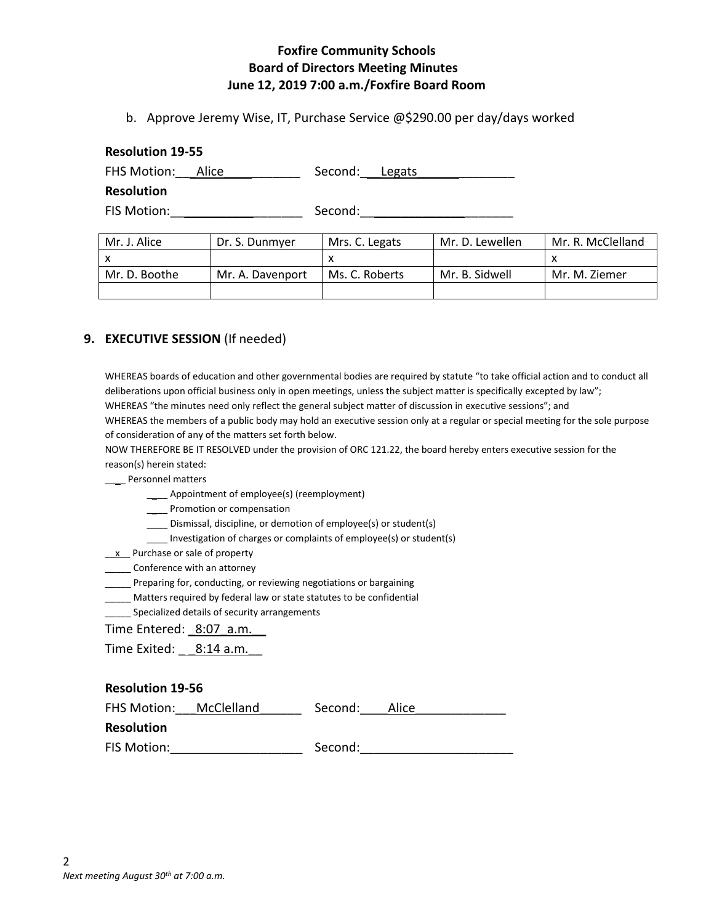b. Approve Jeremy Wise, IT, Purchase Service @\$290.00 per day/days worked

#### **Resolution 19-55**

| FHS Motion: Alice | Second: Legats |
|-------------------|----------------|
| <b>Resolution</b> |                |
| FIS Motion:       | Second:        |

| Mr. J. Alice  | Dr. S. Dunmyer   | Mrs. C. Legats | Mr. D. Lewellen | Mr. R. McClelland |
|---------------|------------------|----------------|-----------------|-------------------|
|               |                  |                |                 |                   |
| Mr. D. Boothe | Mr. A. Davenport | Ms. C. Roberts | Mr. B. Sidwell  | Mr. M. Ziemer     |
|               |                  |                |                 |                   |

# **9. EXECUTIVE SESSION** (If needed)

WHEREAS boards of education and other governmental bodies are required by statute "to take official action and to conduct all deliberations upon official business only in open meetings, unless the subject matter is specifically excepted by law"; WHEREAS "the minutes need only reflect the general subject matter of discussion in executive sessions"; and WHEREAS the members of a public body may hold an executive session only at a regular or special meeting for the sole purpose

of consideration of any of the matters set forth below.

NOW THEREFORE BE IT RESOLVED under the provision of ORC 121.22, the board hereby enters executive session for the reason(s) herein stated:

\_\_\_\_ Personnel matters

\_\_\_\_ Appointment of employee(s) (reemployment)

\_\_\_\_ Promotion or compensation

\_\_\_\_ Dismissal, discipline, or demotion of employee(s) or student(s)

\_\_\_\_ Investigation of charges or complaints of employee(s) or student(s)

\_\_x\_\_ Purchase or sale of property

\_\_\_\_\_\_ Conference with an attorney

\_\_\_\_\_ Preparing for, conducting, or reviewing negotiations or bargaining

\_\_\_\_\_ Matters required by federal law or state statutes to be confidential

Specialized details of security arrangements

Time Entered: 8:07 a.m.

Time Exited: 8:14 a.m.

#### **Resolution 19-56**

| FHS Motion:       | McClelland | Second: | Alice |
|-------------------|------------|---------|-------|
| <b>Resolution</b> |            |         |       |
| FIS Motion:       |            | Second: |       |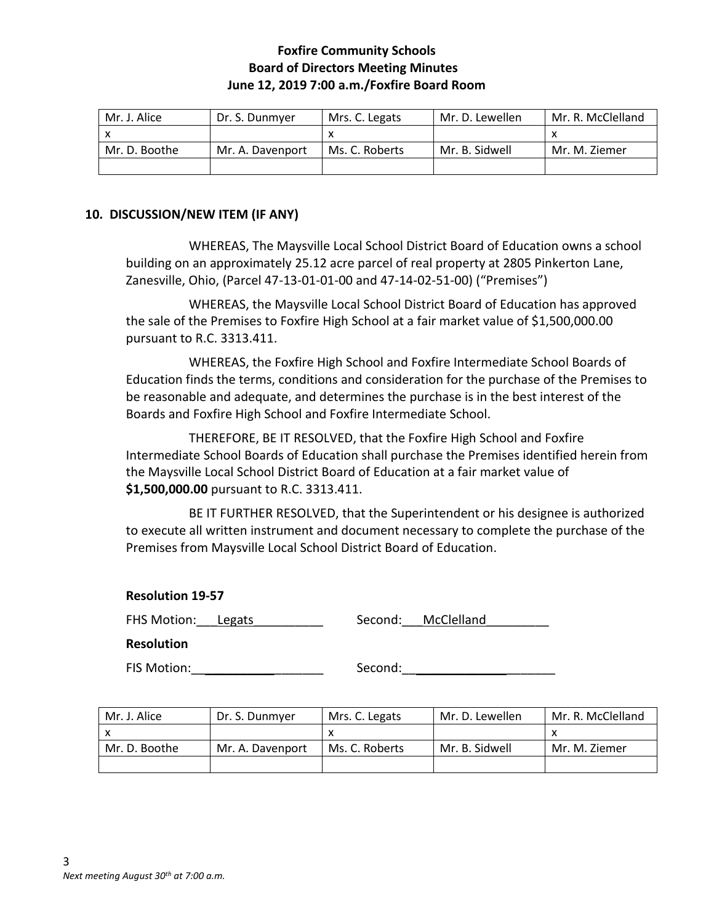| Mr. J. Alice  | Dr. S. Dunmyer   | Mrs. C. Legats | Mr. D. Lewellen | Mr. R. McClelland |
|---------------|------------------|----------------|-----------------|-------------------|
|               |                  |                |                 |                   |
| Mr. D. Boothe | Mr. A. Davenport | Ms. C. Roberts | Mr. B. Sidwell  | Mr. M. Ziemer     |
|               |                  |                |                 |                   |

## **10. DISCUSSION/NEW ITEM (IF ANY)**

WHEREAS, The Maysville Local School District Board of Education owns a school building on an approximately 25.12 acre parcel of real property at 2805 Pinkerton Lane, Zanesville, Ohio, (Parcel 47-13-01-01-00 and 47-14-02-51-00) ("Premises")

WHEREAS, the Maysville Local School District Board of Education has approved the sale of the Premises to Foxfire High School at a fair market value of \$1,500,000.00 pursuant to R.C. 3313.411.

WHEREAS, the Foxfire High School and Foxfire Intermediate School Boards of Education finds the terms, conditions and consideration for the purchase of the Premises to be reasonable and adequate, and determines the purchase is in the best interest of the Boards and Foxfire High School and Foxfire Intermediate School.

THEREFORE, BE IT RESOLVED, that the Foxfire High School and Foxfire Intermediate School Boards of Education shall purchase the Premises identified herein from the Maysville Local School District Board of Education at a fair market value of **\$1,500,000.00** pursuant to R.C. 3313.411.

BE IT FURTHER RESOLVED, that the Superintendent or his designee is authorized to execute all written instrument and document necessary to complete the purchase of the Premises from Maysville Local School District Board of Education.

## **Resolution 19-57**

| FHS Motion: Legats | Second: | McClelland |  |
|--------------------|---------|------------|--|
|                    |         |            |  |

**Resolution**

FIS Motion:\_\_\_\_\_\_\_\_\_\_\_\_\_\_\_\_\_\_\_ Second:\_\_\_\_\_\_\_\_\_\_\_\_\_\_\_\_\_\_\_\_\_\_

| Mr. J. Alice  | Dr. S. Dunmver   | Mrs. C. Legats | Mr. D. Lewellen | Mr. R. McClelland |
|---------------|------------------|----------------|-----------------|-------------------|
|               |                  |                |                 |                   |
| Mr. D. Boothe | Mr. A. Davenport | Ms. C. Roberts | Mr. B. Sidwell  | Mr. M. Ziemer     |
|               |                  |                |                 |                   |